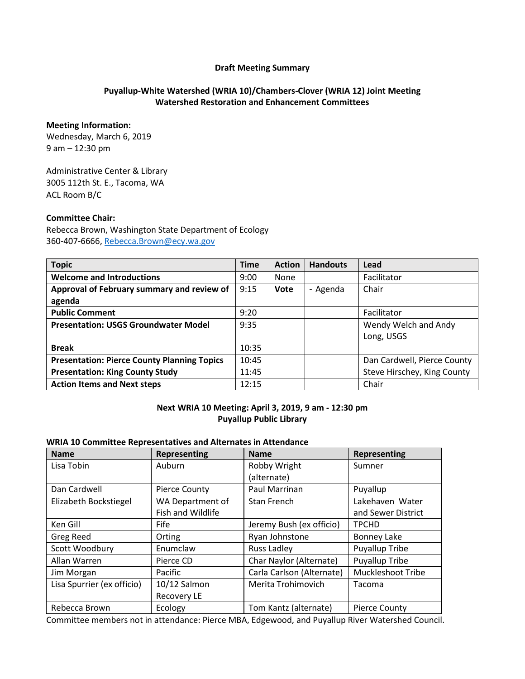#### **Draft Meeting Summary**

# **Puyallup-White Watershed (WRIA 10)/Chambers-Clover (WRIA 12) Joint Meeting Watershed Restoration and Enhancement Committees**

#### **Meeting Information:**

Wednesday, March 6, 2019 9 am – 12:30 pm

Administrative Center & Library 3005 112th St. E., Tacoma, WA ACL Room B/C

### **Committee Chair:**

Rebecca Brown, Washington State Department of Ecology 360-407-6666, [Rebecca.Brown@ecy.wa.gov](mailto:Rebecca.Brown@ecy.wa.gov)

| <b>Topic</b>                                       | <b>Time</b> | <b>Action</b> | <b>Handouts</b> | Lead                        |
|----------------------------------------------------|-------------|---------------|-----------------|-----------------------------|
| <b>Welcome and Introductions</b>                   | 9:00        | None          |                 | Facilitator                 |
| Approval of February summary and review of         | 9:15        | <b>Vote</b>   | - Agenda        | Chair                       |
| agenda                                             |             |               |                 |                             |
| <b>Public Comment</b>                              | 9:20        |               |                 | Facilitator                 |
| <b>Presentation: USGS Groundwater Model</b>        | 9:35        |               |                 | Wendy Welch and Andy        |
|                                                    |             |               |                 | Long, USGS                  |
| <b>Break</b>                                       | 10:35       |               |                 |                             |
| <b>Presentation: Pierce County Planning Topics</b> | 10:45       |               |                 | Dan Cardwell, Pierce County |
| <b>Presentation: King County Study</b>             | 11:45       |               |                 | Steve Hirschey, King County |
| <b>Action Items and Next steps</b>                 | 12:15       |               |                 | Chair                       |

### **Next WRIA 10 Meeting: April 3, 2019, 9 am - 12:30 pm Puyallup Public Library**

#### **WRIA 10 Committee Representatives and Alternates in Attendance**

| <b>Name</b>                | Representing         | <b>Name</b>               | <b>Representing</b>      |
|----------------------------|----------------------|---------------------------|--------------------------|
| Lisa Tobin                 | Auburn               | Robby Wright              | Sumner                   |
|                            |                      | (alternate)               |                          |
| Dan Cardwell               | <b>Pierce County</b> | Paul Marrinan             | Puyallup                 |
| Elizabeth Bockstiegel      | WA Department of     | Stan French               | Lakehaven Water          |
|                            | Fish and Wildlife    |                           | and Sewer District       |
| Ken Gill                   | Fife                 | Jeremy Bush (ex officio)  | <b>TPCHD</b>             |
| <b>Greg Reed</b>           | Orting               | Ryan Johnstone            | <b>Bonney Lake</b>       |
| Scott Woodbury             | Enumclaw             | Russ Ladley               | <b>Puyallup Tribe</b>    |
| Allan Warren               | Pierce CD            | Char Naylor (Alternate)   | Puyallup Tribe           |
| Jim Morgan                 | Pacific              | Carla Carlson (Alternate) | <b>Muckleshoot Tribe</b> |
| Lisa Spurrier (ex officio) | 10/12 Salmon         | Merita Trohimovich        | Tacoma                   |
|                            | <b>Recovery LE</b>   |                           |                          |
| Rebecca Brown              | Ecology              | Tom Kantz (alternate)     | <b>Pierce County</b>     |

Committee members not in attendance: Pierce MBA, Edgewood, and Puyallup River Watershed Council.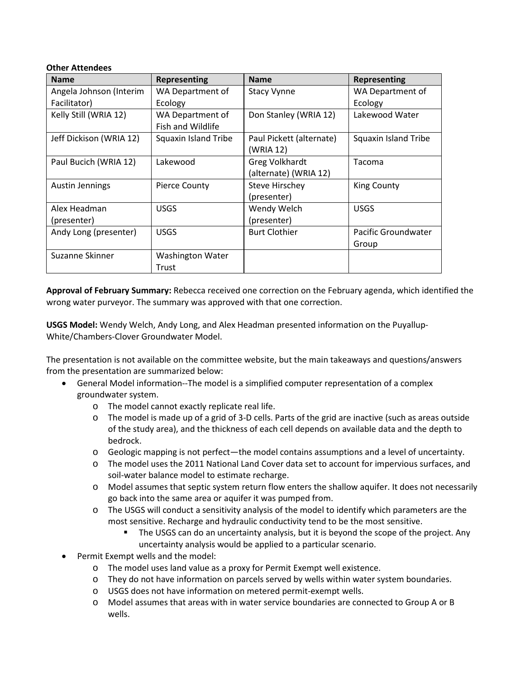### **Other Attendees**

| <b>Name</b>             | Representing            | <b>Name</b>              | Representing               |
|-------------------------|-------------------------|--------------------------|----------------------------|
| Angela Johnson (Interim | WA Department of        | <b>Stacy Vynne</b>       | WA Department of           |
| Facilitator)            | Ecology                 |                          | Ecology                    |
| Kelly Still (WRIA 12)   | WA Department of        | Don Stanley (WRIA 12)    | Lakewood Water             |
|                         | Fish and Wildlife       |                          |                            |
| Jeff Dickison (WRIA 12) | Squaxin Island Tribe    | Paul Pickett (alternate) | Squaxin Island Tribe       |
|                         |                         | (WRIA 12)                |                            |
| Paul Bucich (WRIA 12)   | Lakewood                | <b>Greg Volkhardt</b>    | Tacoma                     |
|                         |                         | (alternate) (WRIA 12)    |                            |
| <b>Austin Jennings</b>  | <b>Pierce County</b>    | <b>Steve Hirschey</b>    | <b>King County</b>         |
|                         |                         | (presenter)              |                            |
| Alex Headman            | <b>USGS</b>             | Wendy Welch              | <b>USGS</b>                |
| (presenter)             |                         | (presenter)              |                            |
| Andy Long (presenter)   | <b>USGS</b>             | <b>Burt Clothier</b>     | <b>Pacific Groundwater</b> |
|                         |                         |                          | Group                      |
| Suzanne Skinner         | <b>Washington Water</b> |                          |                            |
|                         | Trust                   |                          |                            |

**Approval of February Summary:** Rebecca received one correction on the February agenda, which identified the wrong water purveyor. The summary was approved with that one correction.

**USGS Model:** Wendy Welch, Andy Long, and Alex Headman presented information on the Puyallup-White/Chambers-Clover Groundwater Model.

The presentation is not available on the committee website, but the main takeaways and questions/answers from the presentation are summarized below:

- General Model information--The model is a simplified computer representation of a complex groundwater system.
	- o The model cannot exactly replicate real life.
	- o The model is made up of a grid of 3-D cells. Parts of the grid are inactive (such as areas outside of the study area), and the thickness of each cell depends on available data and the depth to bedrock.
	- o Geologic mapping is not perfect—the model contains assumptions and a level of uncertainty.
	- o The model uses the 2011 National Land Cover data set to account for impervious surfaces, and soil-water balance model to estimate recharge.
	- o Model assumes that septic system return flow enters the shallow aquifer. It does not necessarily go back into the same area or aquifer it was pumped from.
	- o The USGS will conduct a sensitivity analysis of the model to identify which parameters are the most sensitive. Recharge and hydraulic conductivity tend to be the most sensitive.
		- The USGS can do an uncertainty analysis, but it is beyond the scope of the project. Any uncertainty analysis would be applied to a particular scenario.
- Permit Exempt wells and the model:
	- o The model uses land value as a proxy for Permit Exempt well existence.
	- o They do not have information on parcels served by wells within water system boundaries.
	- o USGS does not have information on metered permit-exempt wells.
	- o Model assumes that areas with in water service boundaries are connected to Group A or B wells.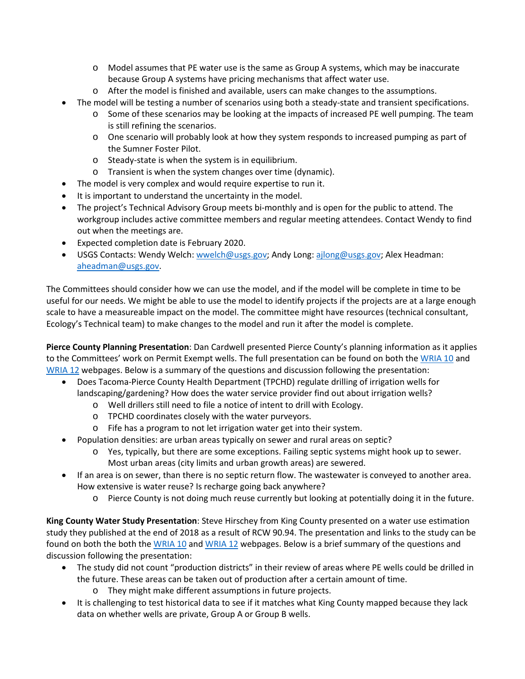- o Model assumes that PE water use is the same as Group A systems, which may be inaccurate because Group A systems have pricing mechanisms that affect water use.
- o After the model is finished and available, users can make changes to the assumptions.
- The model will be testing a number of scenarios using both a steady-state and transient specifications.
	- o Some of these scenarios may be looking at the impacts of increased PE well pumping. The team is still refining the scenarios.
	- o One scenario will probably look at how they system responds to increased pumping as part of the Sumner Foster Pilot.
	- o Steady-state is when the system is in equilibrium.
	- o Transient is when the system changes over time (dynamic).
- The model is very complex and would require expertise to run it.
- It is important to understand the uncertainty in the model.
- The project's Technical Advisory Group meets bi-monthly and is open for the public to attend. The workgroup includes active committee members and regular meeting attendees. Contact Wendy to find out when the meetings are.
- Expected completion date is February 2020.
- USGS Contacts: Wendy Welch: [wwelch@usgs.gov;](mailto:wwelch@usgs.gov) Andy Long: [ajlong@usgs.gov;](mailto:ajlong@usgs.gov) Alex Headman: [aheadman@usgs.gov.](mailto:aheadman@usgs.gov)

The Committees should consider how we can use the model, and if the model will be complete in time to be useful for our needs. We might be able to use the model to identify projects if the projects are at a large enough scale to have a measureable impact on the model. The committee might have resources (technical consultant, Ecology's Technical team) to make changes to the model and run it after the model is complete.

**Pierce County Planning Presentation**: Dan Cardwell presented Pierce County's planning information as it applies to the Committees' work on Permit Exempt wells. The full presentation can be found on both the [WRIA 10](https://www.ezview.wa.gov/site/alias__1962/37323/watershed_restoration_and_enhancement_-_wria_10.aspx) and [WRIA 12](https://www.ezview.wa.gov/site/alias__1962/37324/watershed_restoration_and_enhancement_-_wria_12.aspx) webpages. Below is a summary of the questions and discussion following the presentation:

- Does Tacoma-Pierce County Health Department (TPCHD) regulate drilling of irrigation wells for landscaping/gardening? How does the water service provider find out about irrigation wells?
	- o Well drillers still need to file a notice of intent to drill with Ecology.
	- o TPCHD coordinates closely with the water purveyors.
	- o Fife has a program to not let irrigation water get into their system.
- Population densities: are urban areas typically on sewer and rural areas on septic?
	- o Yes, typically, but there are some exceptions. Failing septic systems might hook up to sewer. Most urban areas (city limits and urban growth areas) are sewered.
- If an area is on sewer, than there is no septic return flow. The wastewater is conveyed to another area. How extensive is water reuse? Is recharge going back anywhere?
	- o Pierce County is not doing much reuse currently but looking at potentially doing it in the future.

**King County Water Study Presentation**: Steve Hirschey from King County presented on a water use estimation study they published at the end of 2018 as a result of RCW 90.94. The presentation and links to the study can be found on both the both the [WRIA 10](https://www.ezview.wa.gov/site/alias__1962/37323/watershed_restoration_and_enhancement_-_wria_10.aspx) and [WRIA 12](https://www.ezview.wa.gov/site/alias__1962/37324/watershed_restoration_and_enhancement_-_wria_12.aspx) webpages. Below is a brief summary of the questions and discussion following the presentation:

- The study did not count "production districts" in their review of areas where PE wells could be drilled in the future. These areas can be taken out of production after a certain amount of time.
	- o They might make different assumptions in future projects.
- It is challenging to test historical data to see if it matches what King County mapped because they lack data on whether wells are private, Group A or Group B wells.